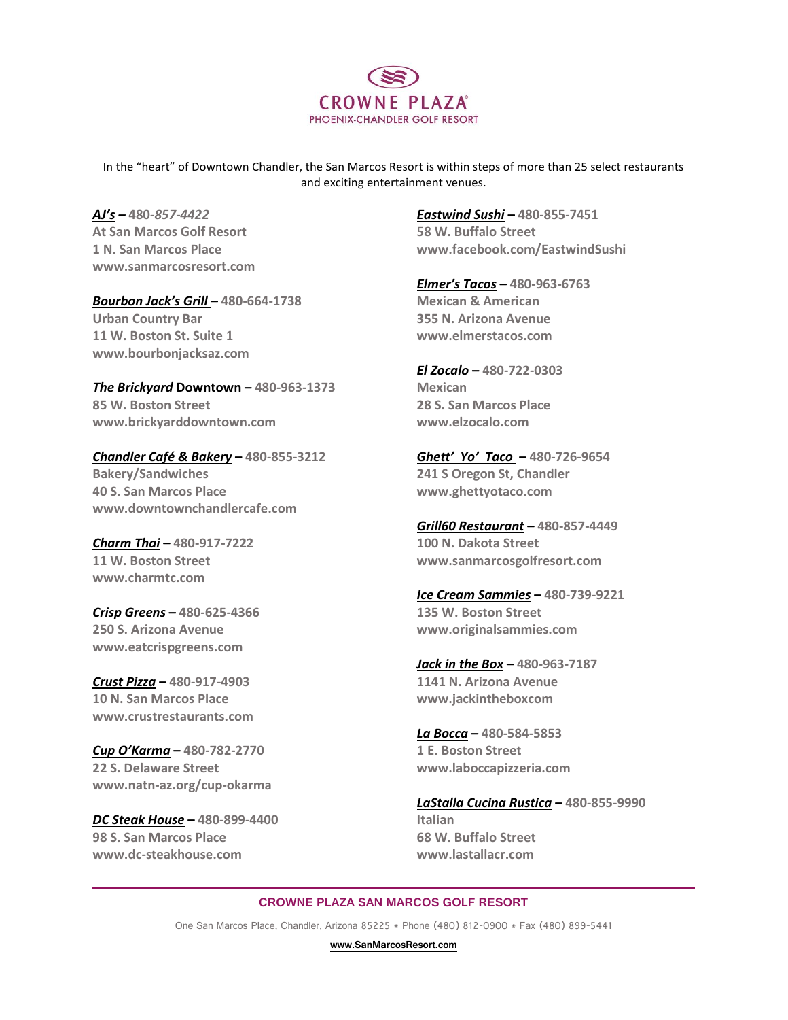

In the "heart" of Downtown Chandler, the San Marcos Resort is within steps of more than 25 select restaurants and exciting entertainment venues.

*AJ's –* **480-***857-4422* **At San Marcos Golf Resort 1 N. San Marcos Place www.sanmarcosresort.com**

*Bourbon Jack's Grill* **– 480-664-1738 Urban Country Bar 11 W. Boston St. Suite 1 www.bourbonjacksaz.com**

*The Brickyard* **Downtown – 480-963-1373 85 W. Boston Street www.brickyarddowntown.com**

*Chandler Café & Bakery* **– 480-855-3212 Bakery/Sandwiches 40 S. San Marcos Place www.downtownchandlercafe.com**

*Charm Thai* **– 480-917-7222 11 W. Boston Street www.charmtc.com**

*Crisp Greens* **– 480-625-4366 250 S. Arizona Avenue www.eatcrispgreens.com**

*Crust Pizza* **– 480-917-4903 10 N. San Marcos Place www.crustrestaurants.com**

*Cup O'Karma* **– 480-782-2770 22 S. Delaware Street www.natn-az.org/cup-okarma**

*DC Steak House* **– 480-899-4400 98 S. San Marcos Place www.dc-steakhouse.com**

*Eastwind Sushi* **– 480-855-7451 58 W. Buffalo Street www.facebook.com/EastwindSushi**

*Elmer's Tacos* **– 480-963-6763 Mexican & American 355 N. Arizona Avenue www.elmerstacos.com**

*El Zocalo* **– 480-722-0303 Mexican 28 S. San Marcos Place www.elzocalo.com**

*Ghett' Yo' Taco* **– 480-726-9654 241 S Oregon St, Chandler www.ghettyotaco.com**

*Grill60 Restaurant* **– 480-857-4449 100 N. Dakota Street [www.sanmarcosgolfresort.com](http://www.sanmarcosgolfresort.com/)**

*Ice Cream Sammies* **– 480-739-9221 135 W. Boston Street www.originalsammies.com**

*Jack in the Box* **– 480-963-7187 1141 N. Arizona Avenue www.jackintheboxcom**

*La Bocca* **– 480-584-5853 1 E. Boston Street www.laboccapizzeria.com**

*LaStalla Cucina Rustica* **– 480-855-9990 Italian 68 W. Buffalo Street www.lastallacr.com**

## **CROWNE PLAZA SAN MARCOS GOLF RESORT**

One San Marcos Place, Chandler, Arizona 85225 \* Phone (480) 812-0900 \* Fax (480) 899-5441

**[www.SanMarcosResort.com](http://www.sanmarcosresort.com/)**